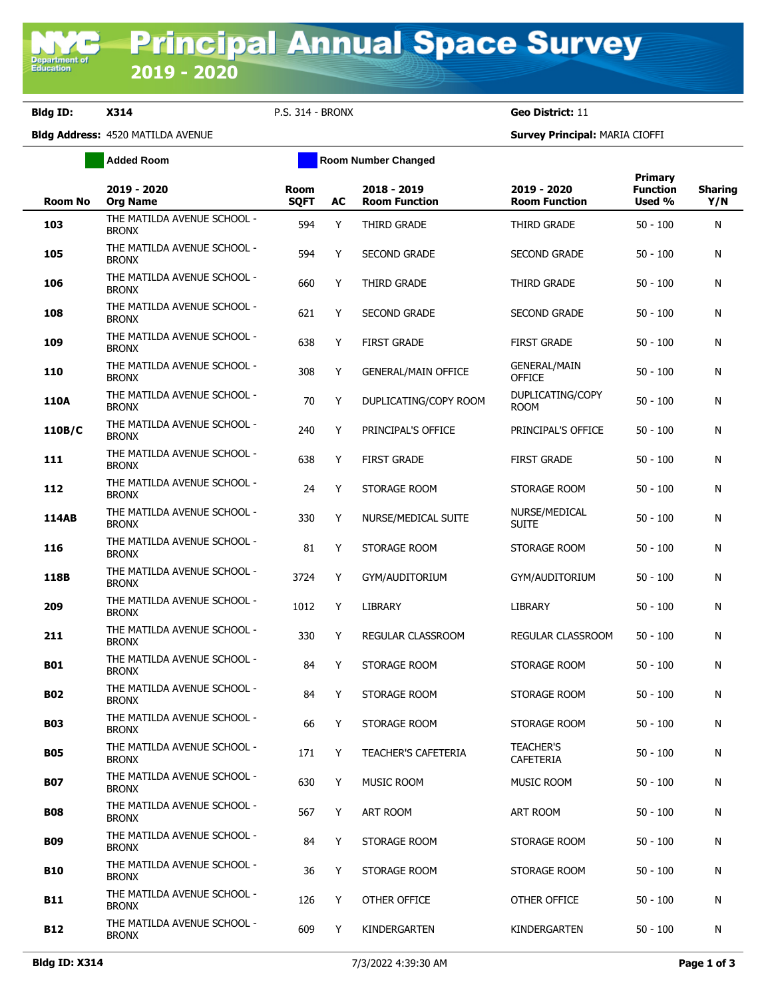## **Bldg ID: X314** P.S. 314 - BRONX **Geo District:** 11

**Department of**<br>Education

**Bldg Address:** 4520 MATILDA AVENUE **Survey Principal:** MARIA CIOFFI

|                | <b>Added Room</b>                           | <b>Room Number Changed</b> |           |                                     |                                      |                                      |                       |
|----------------|---------------------------------------------|----------------------------|-----------|-------------------------------------|--------------------------------------|--------------------------------------|-----------------------|
| <b>Room No</b> | 2019 - 2020<br><b>Org Name</b>              | Room<br><b>SQFT</b>        | <b>AC</b> | 2018 - 2019<br><b>Room Function</b> | 2019 - 2020<br><b>Room Function</b>  | Primary<br><b>Function</b><br>Used % | <b>Sharing</b><br>Y/N |
| 103            | THE MATILDA AVENUE SCHOOL -<br><b>BRONX</b> | 594                        | Y         | THIRD GRADE                         | THIRD GRADE                          | $50 - 100$                           | N                     |
| 105            | THE MATILDA AVENUE SCHOOL -<br><b>BRONX</b> | 594                        | Υ         | <b>SECOND GRADE</b>                 | <b>SECOND GRADE</b>                  | $50 - 100$                           | N                     |
| 106            | THE MATILDA AVENUE SCHOOL -<br><b>BRONX</b> | 660                        | Y         | THIRD GRADE                         | THIRD GRADE                          | $50 - 100$                           | N                     |
| 108            | THE MATILDA AVENUE SCHOOL -<br><b>BRONX</b> | 621                        | Υ         | <b>SECOND GRADE</b>                 | <b>SECOND GRADE</b>                  | $50 - 100$                           | N                     |
| 109            | THE MATILDA AVENUE SCHOOL -<br><b>BRONX</b> | 638                        | Y         | <b>FIRST GRADE</b>                  | <b>FIRST GRADE</b>                   | $50 - 100$                           | N                     |
| 110            | THE MATILDA AVENUE SCHOOL -<br><b>BRONX</b> | 308                        | Υ         | <b>GENERAL/MAIN OFFICE</b>          | <b>GENERAL/MAIN</b><br><b>OFFICE</b> | $50 - 100$                           | N                     |
| 110A           | THE MATILDA AVENUE SCHOOL -<br><b>BRONX</b> | 70                         | Y         | DUPLICATING/COPY ROOM               | DUPLICATING/COPY<br><b>ROOM</b>      | $50 - 100$                           | N                     |
| 110B/C         | THE MATILDA AVENUE SCHOOL -<br><b>BRONX</b> | 240                        | Y         | PRINCIPAL'S OFFICE                  | PRINCIPAL'S OFFICE                   | $50 - 100$                           | N                     |
| 111            | THE MATILDA AVENUE SCHOOL -<br><b>BRONX</b> | 638                        | Y         | <b>FIRST GRADE</b>                  | <b>FIRST GRADE</b>                   | $50 - 100$                           | N                     |
| 112            | THE MATILDA AVENUE SCHOOL -<br><b>BRONX</b> | 24                         | Y         | STORAGE ROOM                        | STORAGE ROOM                         | $50 - 100$                           | N                     |
| <b>114AB</b>   | THE MATILDA AVENUE SCHOOL -<br><b>BRONX</b> | 330                        | Y         | NURSE/MEDICAL SUITE                 | NURSE/MEDICAL<br><b>SUITE</b>        | $50 - 100$                           | N                     |
| 116            | THE MATILDA AVENUE SCHOOL -<br><b>BRONX</b> | 81                         | Y         | STORAGE ROOM                        | STORAGE ROOM                         | $50 - 100$                           | N                     |
| 118B           | THE MATILDA AVENUE SCHOOL -<br><b>BRONX</b> | 3724                       | Υ         | GYM/AUDITORIUM                      | GYM/AUDITORIUM                       | $50 - 100$                           | N                     |
| 209            | THE MATILDA AVENUE SCHOOL -<br><b>BRONX</b> | 1012                       | Y         | LIBRARY                             | LIBRARY                              | $50 - 100$                           | N                     |
| 211            | THE MATILDA AVENUE SCHOOL -<br><b>BRONX</b> | 330                        | Y         | REGULAR CLASSROOM                   | REGULAR CLASSROOM                    | $50 - 100$                           | N                     |
| <b>B01</b>     | THE MATILDA AVENUE SCHOOL -<br><b>BRONX</b> | 84                         | Y         | STORAGE ROOM                        | STORAGE ROOM                         | $50 - 100$                           | N                     |
| <b>B02</b>     | THE MATILDA AVENUE SCHOOL -<br><b>BRONX</b> | 84                         | Y         | STORAGE ROOM                        | STORAGE ROOM                         | $50 - 100$                           | N                     |
| <b>B03</b>     | THE MATILDA AVENUE SCHOOL -<br><b>BRONX</b> | 66                         | Y         | STORAGE ROOM                        | STORAGE ROOM                         | $50 - 100$                           | N                     |
| <b>B05</b>     | THE MATILDA AVENUE SCHOOL -<br><b>BRONX</b> | 171                        | Y         | TEACHER'S CAFETERIA                 | <b>TEACHER'S</b><br>CAFETERIA        | $50 - 100$                           | N                     |
| <b>B07</b>     | THE MATILDA AVENUE SCHOOL -<br><b>BRONX</b> | 630                        | Y         | MUSIC ROOM                          | MUSIC ROOM                           | $50 - 100$                           | N                     |
| <b>B08</b>     | THE MATILDA AVENUE SCHOOL -<br><b>BRONX</b> | 567                        | Y         | ART ROOM                            | ART ROOM                             | $50 - 100$                           | N                     |
| <b>B09</b>     | THE MATILDA AVENUE SCHOOL -<br><b>BRONX</b> | 84                         | Y         | STORAGE ROOM                        | STORAGE ROOM                         | $50 - 100$                           | N                     |
| B10            | THE MATILDA AVENUE SCHOOL -<br><b>BRONX</b> | 36                         | Y         | STORAGE ROOM                        | STORAGE ROOM                         | $50 - 100$                           | N                     |
| <b>B11</b>     | THE MATILDA AVENUE SCHOOL -<br><b>BRONX</b> | 126                        | Y         | OTHER OFFICE                        | OTHER OFFICE                         | $50 - 100$                           | N                     |
| <b>B12</b>     | THE MATILDA AVENUE SCHOOL -<br><b>BRONX</b> | 609                        | Y         | KINDERGARTEN                        | KINDERGARTEN                         | $50 - 100$                           | N                     |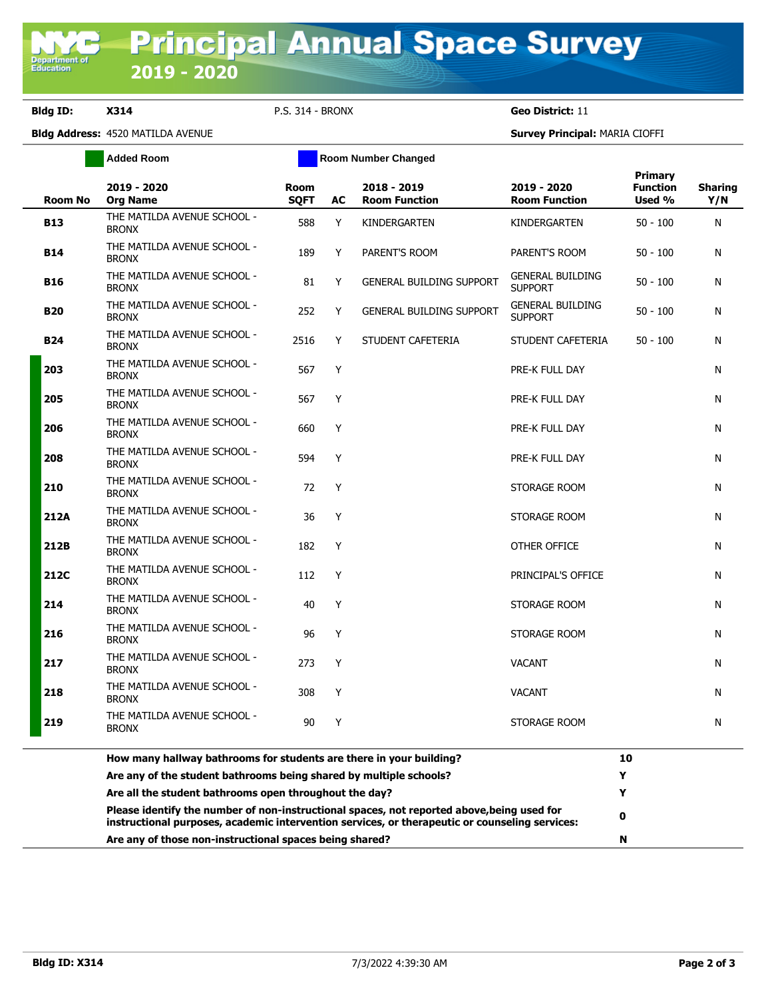## **Bldg ID: X314** P.S. 314 - BRONX **Geo District:** 11

**Bldg Address:** 4520 MATILDA AVENUE **Survey Principal:** MARIA CIOFFI

|                | <b>Added Room</b>                                                   | <b>Room Number Changed</b> |    |                                     |                                           |                                      |                       |
|----------------|---------------------------------------------------------------------|----------------------------|----|-------------------------------------|-------------------------------------------|--------------------------------------|-----------------------|
| <b>Room No</b> | 2019 - 2020<br><b>Org Name</b>                                      | <b>Room</b><br><b>SQFT</b> | AC | 2018 - 2019<br><b>Room Function</b> | 2019 - 2020<br><b>Room Function</b>       | Primary<br><b>Function</b><br>Used % | <b>Sharing</b><br>Y/N |
| <b>B13</b>     | THE MATILDA AVENUE SCHOOL -<br><b>BRONX</b>                         | 588                        | Y  | KINDERGARTEN                        | KINDERGARTEN                              | $50 - 100$                           | N                     |
| <b>B14</b>     | THE MATILDA AVENUE SCHOOL -<br><b>BRONX</b>                         | 189                        | Y  | PARENT'S ROOM                       | PARENT'S ROOM                             | $50 - 100$                           | N                     |
| <b>B16</b>     | THE MATILDA AVENUE SCHOOL -<br><b>BRONX</b>                         | 81                         | Y  | <b>GENERAL BUILDING SUPPORT</b>     | <b>GENERAL BUILDING</b><br><b>SUPPORT</b> | $50 - 100$                           | N                     |
| <b>B20</b>     | THE MATILDA AVENUE SCHOOL -<br><b>BRONX</b>                         | 252                        | Y  | <b>GENERAL BUILDING SUPPORT</b>     | <b>GENERAL BUILDING</b><br><b>SUPPORT</b> | $50 - 100$                           | N                     |
| <b>B24</b>     | THE MATILDA AVENUE SCHOOL -<br><b>BRONX</b>                         | 2516                       | Y  | STUDENT CAFETERIA                   | STUDENT CAFETERIA                         | $50 - 100$                           | N                     |
| 203            | THE MATILDA AVENUE SCHOOL -<br><b>BRONX</b>                         | 567                        | Y  |                                     | PRE-K FULL DAY                            |                                      | N                     |
| 205            | THE MATILDA AVENUE SCHOOL -<br><b>BRONX</b>                         | 567                        | Y  |                                     | PRE-K FULL DAY                            |                                      | N                     |
| 206            | THE MATILDA AVENUE SCHOOL -<br><b>BRONX</b>                         | 660                        | Y  |                                     | PRE-K FULL DAY                            |                                      | N                     |
| 208            | THE MATILDA AVENUE SCHOOL -<br><b>BRONX</b>                         | 594                        | Y  |                                     | PRE-K FULL DAY                            |                                      | N                     |
| 210            | THE MATILDA AVENUE SCHOOL -<br><b>BRONX</b>                         | 72                         | Y  |                                     | STORAGE ROOM                              |                                      | N                     |
| 212A           | THE MATILDA AVENUE SCHOOL -<br><b>BRONX</b>                         | 36                         | Y  |                                     | STORAGE ROOM                              |                                      | N                     |
| 212B           | THE MATILDA AVENUE SCHOOL -<br><b>BRONX</b>                         | 182                        | Y  |                                     | OTHER OFFICE                              |                                      | N                     |
| 212C           | THE MATILDA AVENUE SCHOOL -<br><b>BRONX</b>                         | 112                        | Y  |                                     | PRINCIPAL'S OFFICE                        |                                      | N                     |
| 214            | THE MATILDA AVENUE SCHOOL -<br><b>BRONX</b>                         | 40                         | Y  |                                     | STORAGE ROOM                              |                                      | N                     |
| 216            | THE MATILDA AVENUE SCHOOL -<br><b>BRONX</b>                         | 96                         | Y  |                                     | STORAGE ROOM                              |                                      | N                     |
| 217            | THE MATILDA AVENUE SCHOOL -<br><b>BRONX</b>                         | 273                        | Y  |                                     | <b>VACANT</b>                             |                                      | N                     |
| 218            | THE MATILDA AVENUE SCHOOL -<br><b>BRONX</b>                         | 308                        | Y  |                                     | <b>VACANT</b>                             |                                      | N                     |
| 219            | THE MATILDA AVENUE SCHOOL -<br><b>BRONX</b>                         | 90                         | Y  |                                     | STORAGE ROOM                              |                                      | N                     |
|                | How many hallway bathrooms for students are there in your building? |                            |    |                                     |                                           | 10                                   |                       |

| How many hallway bathrooms for students are there in your building?                                                                                                                          | 10 |
|----------------------------------------------------------------------------------------------------------------------------------------------------------------------------------------------|----|
| Are any of the student bathrooms being shared by multiple schools?                                                                                                                           |    |
| Are all the student bathrooms open throughout the day?                                                                                                                                       |    |
| Please identify the number of non-instructional spaces, not reported above, being used for<br>instructional purposes, academic intervention services, or therapeutic or counseling services: |    |
| Are any of those non-instructional spaces being shared?                                                                                                                                      | N  |